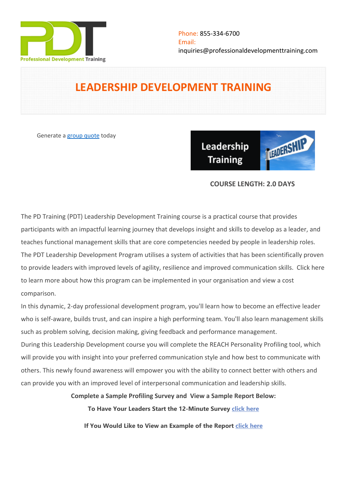

# **LEADERSHIP DEVELOPMENT TRAINING**

Generate a [group quote](https://professionaldevelopmenttraining.com/inhouse-training-quote?cse=PDT014CTM) today

**LEADERSH** Leadership **Training** 

## **COURSE LENGTH: 2.0 DAYS**

The PD Training (PDT) Leadership Development Training course is a practical course that provides participants with an impactful learning journey that develops insight and skills to develop as a leader, and teaches functional management skills that are core competencies needed by people in leadership roles. The PDT Leadership Development Program utilises a system of activities that has been scientifically proven to provide leaders with improved levels of agility, resilience and improved communication skills. [Click here](https://pdtraining.com.au/leadership-development-new)  [to learn more about how this program can be implemented in your organisation and view a cost](https://pdtraining.com.au/leadership-development-new)  [comparison.](https://pdtraining.com.au/leadership-development-new)

In this dynamic, 2-day professional development program, you'll learn how to become an effective leader who is self-aware, builds trust, and can inspire a high performing team. You'll also learn management skills such as problem solving, decision making, giving feedback and performance management.

During this Leadership Development course you will complete the REACH Personality Profiling tool, which will provide you with insight into your preferred communication style and how best to communicate with others. This newly found awareness will empower you with the ability to connect better with others and can provide you with an improved level of interpersonal communication and leadership skills.

**Complete a Sample Profiling Survey and View a Sample Report Below:**

**To Have Your Leaders Start the 12-Minute Survey [click here](https://au.reachecosystem.com/Participants/TakeSurvey/Start?code=ECMNQTRH)**

**If You Would Like to View an Example of the Report [click here](https://au.reachecosystem.com/assets/pdf/reach-leading-profile-sample-march-2020.pdf)**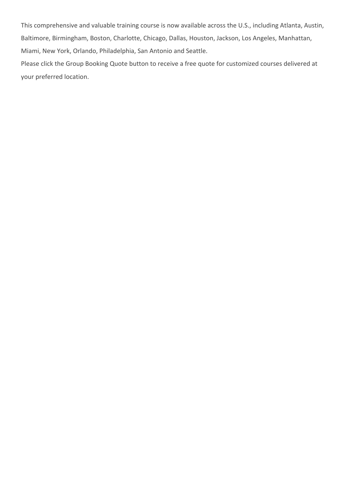This comprehensive and valuable training course is now available across the U.S., including Atlanta, Austin, Baltimore, Birmingham, Boston, Charlotte, Chicago, Dallas, Houston, Jackson, Los Angeles, Manhattan, Miami, New York, Orlando, Philadelphia, San Antonio and Seattle.

Please click the Group Booking Quote button to receive a free quote for customized courses delivered at your preferred location.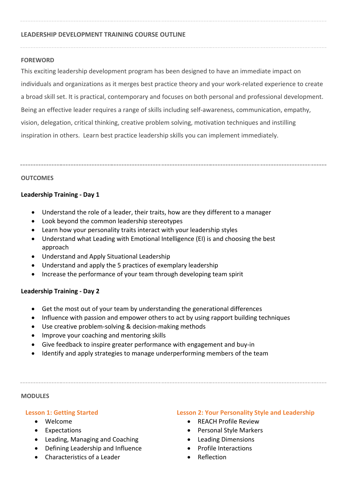#### **LEADERSHIP DEVELOPMENT TRAINING COURSE OUTLINE**

#### **FOREWORD**

This exciting leadership development program has been designed to have an immediate impact on individuals and organizations as it merges best practice theory and your work-related experience to create a broad skill set. It is practical, contemporary and focuses on both personal and professional development. Being an effective leader requires a range of skills including self-awareness, communication, empathy, vision, delegation, critical thinking, creative problem solving, motivation techniques and instilling inspiration in others. Learn best practice leadership skills you can implement immediately.

#### **OUTCOMES**

## **Leadership Training - Day 1**

- Understand the role of a leader, their traits, how are they different to a manager
- Look beyond the common leadership stereotypes
- Learn how your personality traits interact with your leadership styles
- Understand what Leading with Emotional Intelligence (EI) is and choosing the best approach
- Understand and Apply Situational Leadership
- Understand and apply the 5 practices of exemplary leadership
- Increase the performance of your team through developing team spirit

#### **Leadership Training - Day 2**

- Get the most out of your team by understanding the generational differences
- Influence with passion and empower others to act by using rapport building techniques
- Use creative problem-solving & decision-making methods
- Improve your coaching and mentoring skills
- Give feedback to inspire greater performance with engagement and buy-in
- Identify and apply strategies to manage underperforming members of the team

#### **MODULES**

#### **Lesson 1: Getting Started**

- Welcome
- Expectations
- Leading, Managing and Coaching
- Defining Leadership and Influence
- Characteristics of a Leader

#### **Lesson 2: Your Personality Style and Leadership**

- REACH Profile Review
- Personal Style Markers
- Leading Dimensions
- Profile Interactions
- Reflection